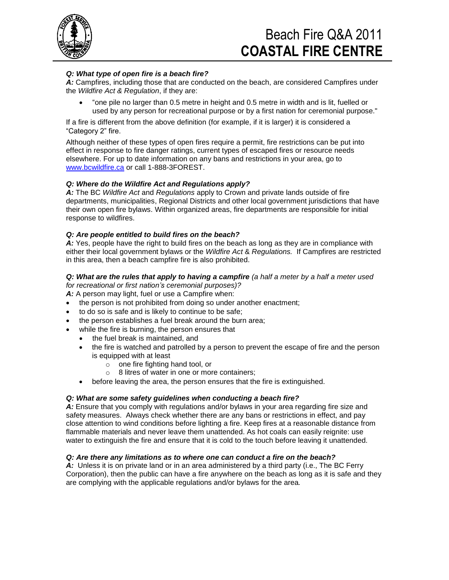

## Beach Fire Q&A 2011 **COASTAL FIRE CENTRE**

## *Q: What type of open fire is a beach fire?*

*A:* Campfires, including those that are conducted on the beach, are considered Campfires under the *Wildfire Act & Regulation*, if they are:

 "one pile no larger than 0.5 metre in height and 0.5 metre in width and is lit, fuelled or used by any person for recreational purpose or by a first nation for ceremonial purpose."

If a fire is different from the above definition (for example, if it is larger) it is considered a "Category 2" fire.

Although neither of these types of open fires require a permit, fire restrictions can be put into effect in response to fire danger ratings, current types of escaped fires or resource needs elsewhere. For up to date information on any bans and restrictions in your area, go to [www.bcwildfire.ca](http://www.bcwildfire.ca/) or call 1-888-3FOREST.

#### *Q: Where do the Wildfire Act and Regulations apply?*

*A:* The BC *Wildfire Act* and *Regulations* apply to Crown and private lands outside of fire departments, municipalities, Regional Districts and other local government jurisdictions that have their own open fire bylaws. Within organized areas, fire departments are responsible for initial response to wildfires.

#### *Q: Are people entitled to build fires on the beach?*

A: Yes, people have the right to build fires on the beach as long as they are in compliance with either their local government bylaws or the *Wildfire Act* & *Regulations.* If Campfires are restricted in this area, then a beach campfire fire is also prohibited.

#### *Q: What are the rules that apply to having a campfire (a half a meter by a half a meter used for recreational or first nation's ceremonial purposes)?*

*A:* A person may light, fuel or use a Campfire when:

- the person is not prohibited from doing so under another enactment;
- to do so is safe and is likely to continue to be safe;
- the person establishes a fuel break around the burn area;
- while the fire is burning, the person ensures that
	- the fuel break is maintained, and
	- the fire is watched and patrolled by a person to prevent the escape of fire and the person is equipped with at least
		- o one fire fighting hand tool, or
		- o 8 litres of water in one or more containers;
	- before leaving the area, the person ensures that the fire is extinguished.

#### *Q: What are some safety guidelines when conducting a beach fire?*

*A:* Ensure that you comply with regulations and/or bylaws in your area regarding fire size and safety measures. Always check whether there are any bans or restrictions in effect, and pay close attention to wind conditions before lighting a fire. Keep fires at a reasonable distance from flammable materials and never leave them unattended. As hot coals can easily reignite: use water to extinguish the fire and ensure that it is cold to the touch before leaving it unattended.

#### *Q: Are there any limitations as to where one can conduct a fire on the beach?*

*A:* Unless it is on private land or in an area administered by a third party (i.e., The BC Ferry Corporation), then the public can have a fire anywhere on the beach as long as it is safe and they are complying with the applicable regulations and/or bylaws for the area*.*